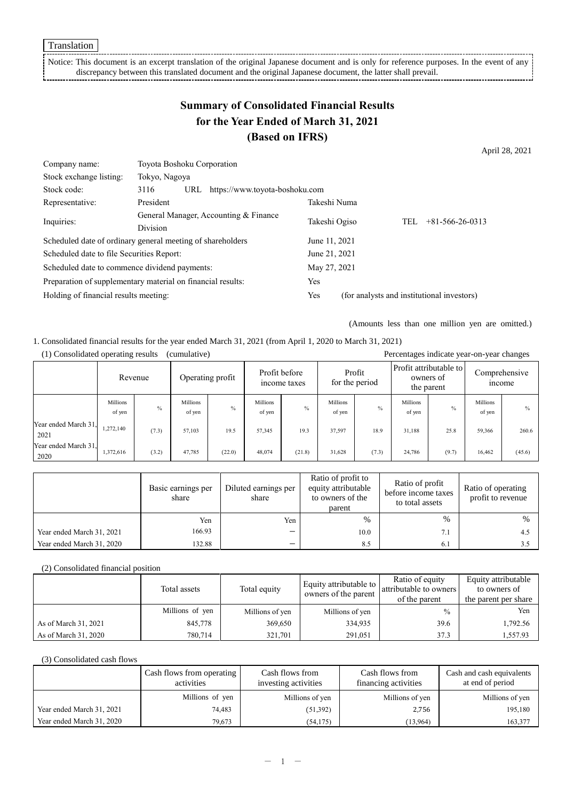Translation

Notice: This document is an excerpt translation of the original Japanese document and is only for reference purposes. In the event of any discrepancy between this translated document and the original Japanese document, the latter shall prevail.

## **Summary of Consolidated Financial Results for the Year Ended of March 31, 2021 (Based on IFRS)**

April 28, 2021

| Company name:                                               | Toyota Boshoku Corporation                               |     |                                |              |                                            |  |     |                         |
|-------------------------------------------------------------|----------------------------------------------------------|-----|--------------------------------|--------------|--------------------------------------------|--|-----|-------------------------|
| Stock exchange listing:                                     | Tokyo, Nagoya                                            |     |                                |              |                                            |  |     |                         |
| Stock code:                                                 | 3116                                                     | URL | https://www.toyota-boshoku.com |              |                                            |  |     |                         |
| Representative:                                             | President                                                |     |                                |              | Takeshi Numa                               |  |     |                         |
| Inquiries:                                                  | General Manager, Accounting & Finance<br><b>Division</b> |     |                                |              | Takeshi Ogiso                              |  | TEL | $+81 - 566 - 26 - 0313$ |
|                                                             |                                                          |     |                                |              |                                            |  |     |                         |
| Scheduled date of ordinary general meeting of shareholders  |                                                          |     |                                |              | June 11, 2021                              |  |     |                         |
| Scheduled date to file Securities Report:                   |                                                          |     |                                |              | June 21, 2021                              |  |     |                         |
| Scheduled date to commence dividend payments:               |                                                          |     |                                | May 27, 2021 |                                            |  |     |                         |
| Preparation of supplementary material on financial results: |                                                          |     |                                |              | Yes                                        |  |     |                         |
| Holding of financial results meeting:                       |                                                          |     |                                | Yes          | (for analysts and institutional investors) |  |     |                         |

(Amounts less than one million yen are omitted.)

1. Consolidated financial results for the year ended March 31, 2021 (from April 1, 2020 to March 31, 2021)

|                              |                           | Revenue | Operating profit   |               | Profit before<br>income taxes |               |                           |       |                    |       | Profit<br>for the period |               |  |  |  | Profit attributable to<br>owners of<br>the parent |  | Comprehensive<br><i>n</i> come |
|------------------------------|---------------------------|---------|--------------------|---------------|-------------------------------|---------------|---------------------------|-------|--------------------|-------|--------------------------|---------------|--|--|--|---------------------------------------------------|--|--------------------------------|
|                              | <b>Millions</b><br>of yen | $\%$    | Millions<br>of yen | $\frac{0}{0}$ | Millions<br>of yen            | $\frac{0}{0}$ | <b>Millions</b><br>of yen | $\%$  | Millions<br>of yen | $\%$  | Millions<br>of yen       | $\frac{0}{0}$ |  |  |  |                                                   |  |                                |
| Year ended March 31,<br>2021 | 1,272,140                 | (7.3)   | 57,103             | 19.5          | 57,345                        | 19.3          | 37,597                    | 18.9  | 31.188             | 25.8  | 59,366                   | 260.6         |  |  |  |                                                   |  |                                |
| Year ended March 31.<br>2020 | 1,372,616                 | (3.2)   | 47,785             | (22.0)        | 48,074                        | (21.8)        | 31,628                    | (7.3) | 24,786             | (9.7) | 16,462                   | (45.6)        |  |  |  |                                                   |  |                                |

(1) Consolidated operating results (cumulative) Percentages indicate year-on-year changes

|                           | Basic earnings per<br>share | Diluted earnings per<br>share | Ratio of profit to<br>equity attributable<br>to owners of the<br>parent | Ratio of profit<br>before income taxes<br>to total assets | Ratio of operating<br>profit to revenue |
|---------------------------|-----------------------------|-------------------------------|-------------------------------------------------------------------------|-----------------------------------------------------------|-----------------------------------------|
|                           | Yen                         | Yen                           | $\%$                                                                    | $\%$                                                      | $\%$                                    |
| Year ended March 31, 2021 | 166.93                      | –                             | 10.0                                                                    | 7.1                                                       | 4.5                                     |
| Year ended March 31, 2020 | 132.88                      | -                             | 8.5                                                                     | 6.1                                                       |                                         |

#### (2) Consolidated financial position

|                      | Total assets    | Total equity    | Equity attributable to<br>owners of the parent | Ratio of equity<br>attributable to owners | Equity attributable<br>to owners of |
|----------------------|-----------------|-----------------|------------------------------------------------|-------------------------------------------|-------------------------------------|
|                      |                 |                 |                                                | of the parent                             | the parent per share                |
|                      | Millions of yen | Millions of yen | Millions of yen                                | $\frac{0}{0}$                             | Yen                                 |
| As of March 31, 2021 | 845,778         | 369,650         | 334,935                                        | 39.6                                      | 1,792.56                            |
| As of March 31, 2020 | 780.714         | 321.701         | 291,051                                        | 37.3                                      | 1,557.93                            |

#### (3) Consolidated cash flows

|                           | Cash flows from operating<br>activities | Cash flows from<br>investing activities | Cash flows from<br>financing activities | Cash and cash equivalents<br>at end of period |
|---------------------------|-----------------------------------------|-----------------------------------------|-----------------------------------------|-----------------------------------------------|
|                           | Millions of yen                         | Millions of yen                         | Millions of yen                         | Millions of yen                               |
| Year ended March 31, 2021 | 74,483                                  | (51, 392)                               | 2,756                                   | 195,180                                       |
| Year ended March 31, 2020 | 79,673                                  | (54, 175)                               | (13,964)                                | 163,377                                       |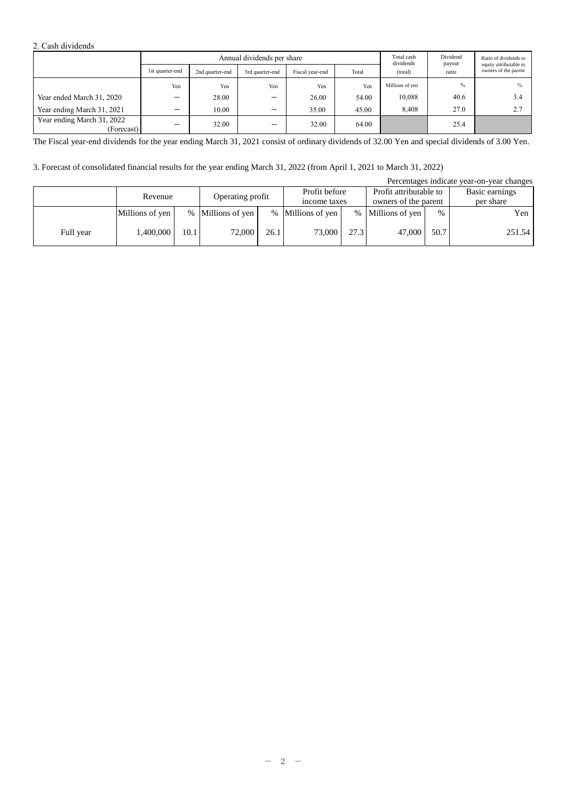#### 2. Cash dividends

|                                          | Annual dividends per share |                 |                          |                 |       |                      |                 | Ratio of dividends to<br>equity attributable to |  |
|------------------------------------------|----------------------------|-----------------|--------------------------|-----------------|-------|----------------------|-----------------|-------------------------------------------------|--|
|                                          | 1st quarter-end            | 2nd quarter-end | 3rd quarter-end          | Fiscal year-end | Total | dividends<br>(total) | payout<br>ratio | owners of the parent                            |  |
|                                          | Yen                        | Yen             | Yen                      | Yen             | Yen   | Millions of yen      | $\frac{0}{0}$   |                                                 |  |
| Year ended March 31, 2020                |                            | 28.00           | –                        | 26.00           | 54.00 | 10,088               | 40.6            | 3.4                                             |  |
| Year ending March 31, 2021               | $\overline{\phantom{0}}$   | 10.00           | ▃                        | 35.00           | 45.00 | 8,408                | 27.0            | 2.7                                             |  |
| Year ending March 31, 2022<br>(Forecast) | $\overline{\phantom{0}}$   | 32.00           | $\overline{\phantom{0}}$ | 32.00           | 64.00 |                      | 25.4            |                                                 |  |

The Fiscal year-end dividends for the year ending March 31, 2021 consist of ordinary dividends of 32.00 Yen and special dividends of 3.00 Yen.

### 3. Forecast of consolidated financial results for the year ending March 31, 2022 (from April 1, 2021 to March 31, 2022)

|           |                 |                  |                   |               |                   |                        |                      |                | Percentages indicate year-on-year changes |
|-----------|-----------------|------------------|-------------------|---------------|-------------------|------------------------|----------------------|----------------|-------------------------------------------|
| Revenue   |                 | Operating profit |                   | Profit before |                   | Profit attributable to |                      | Basic earnings |                                           |
|           |                 |                  |                   |               | income taxes      |                        | owners of the parent |                | per share                                 |
|           | Millions of yen |                  | % Millions of yen |               | % Millions of yen |                        | % Millions of yen    | $\%$           | Yen                                       |
| Full year | 1,400,000       | 10.1             | 72,000            | 26.1          | 73,000            | 27.3                   | 47,000               | 50.7           | 251.54                                    |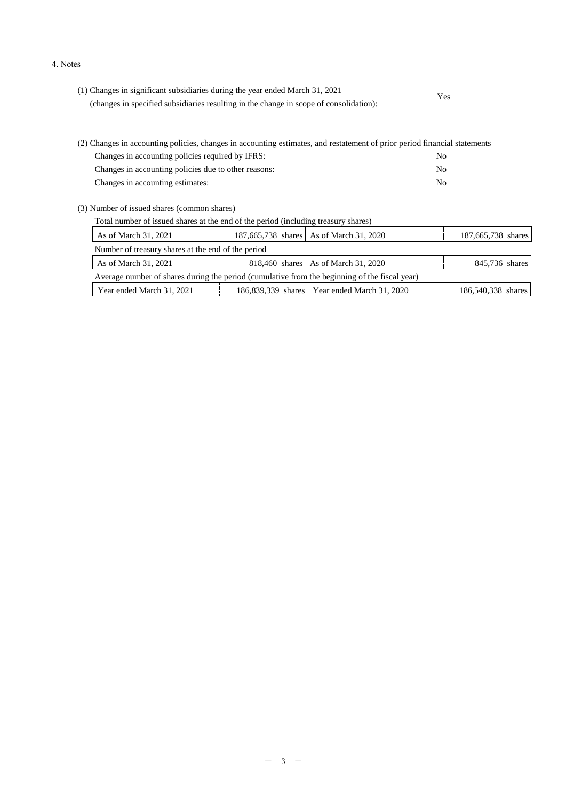#### 4. Notes

| (1) Changes in significant subsidiaries during the year ended March 31, 2021           | Yes |  |
|----------------------------------------------------------------------------------------|-----|--|
| (changes in specified subsidiaries resulting in the change in scope of consolidation): |     |  |

| (2) Changes in accounting policies, changes in accounting estimates, and restatement of prior period financial statements |     |  |  |  |  |  |
|---------------------------------------------------------------------------------------------------------------------------|-----|--|--|--|--|--|
| Changes in accounting policies required by IFRS:                                                                          | No. |  |  |  |  |  |
| Changes in accounting policies due to other reasons:                                                                      | No. |  |  |  |  |  |
| Changes in accounting estimates:                                                                                          | No. |  |  |  |  |  |

(3) Number of issued shares (common shares)

| As of March 31, 2021                                                                          |  | 187,665,738 shares As of March 31, 2020        | 187,665,738 shares |  |  |  |  |  |
|-----------------------------------------------------------------------------------------------|--|------------------------------------------------|--------------------|--|--|--|--|--|
| Number of treasury shares at the end of the period                                            |  |                                                |                    |  |  |  |  |  |
| As of March 31, 2021                                                                          |  | 818,460 shares As of March 31, 2020            | 845,736 shares     |  |  |  |  |  |
| Average number of shares during the period (cumulative from the beginning of the fiscal year) |  |                                                |                    |  |  |  |  |  |
| Year ended March 31, 2021                                                                     |  | 186,839,339 shares   Year ended March 31, 2020 | 186,540,338 shares |  |  |  |  |  |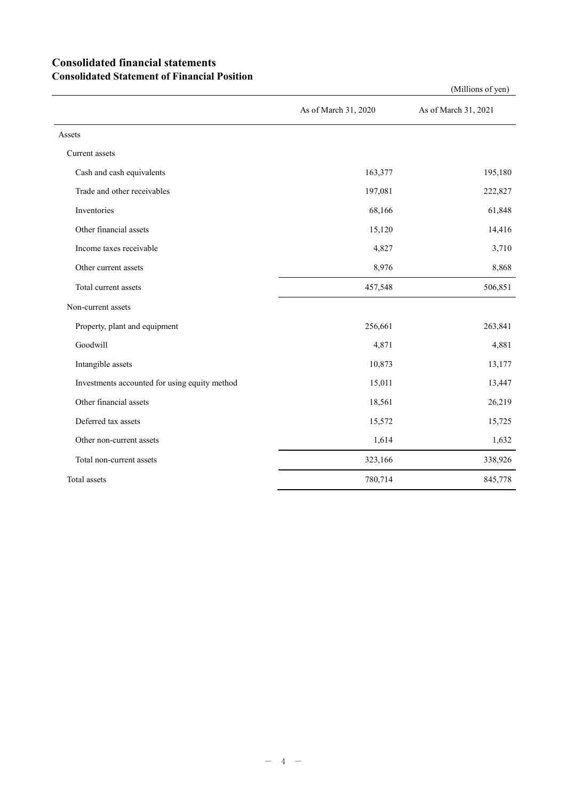## **Consolidated financial statements Consolidated Statement of Financial Position**

|                                               | As of March 31, 2020 | As of March 31, 2021 |
|-----------------------------------------------|----------------------|----------------------|
| Assets                                        |                      |                      |
| Current assets                                |                      |                      |
| Cash and cash equivalents                     | 163,377              | 195,180              |
| Trade and other receivables                   | 197,081              | 222,827              |
| Inventories                                   | 68,166               | 61,848               |
| Other financial assets                        | 15,120               | 14,416               |
| Income taxes receivable                       | 4,827                | 3,710                |
| Other current assets                          | 8,976                | 8,868                |
| Total current assets                          | 457,548              | 506,851              |
| Non-current assets                            |                      |                      |
| Property, plant and equipment                 | 256,661              | 263,841              |
| Goodwill                                      | 4,871                | 4,881                |
| Intangible assets                             | 10,873               | 13,177               |
| Investments accounted for using equity method | 15,011               | 13,447               |
| Other financial assets                        | 18,561               | 26,219               |
| Deferred tax assets                           | 15,572               | 15,725               |
| Other non-current assets                      | 1,614                | 1,632                |
| Total non-current assets                      | 323,166              | 338,926              |
| Total assets                                  | 780,714              | 845,778              |

(Millions of yen)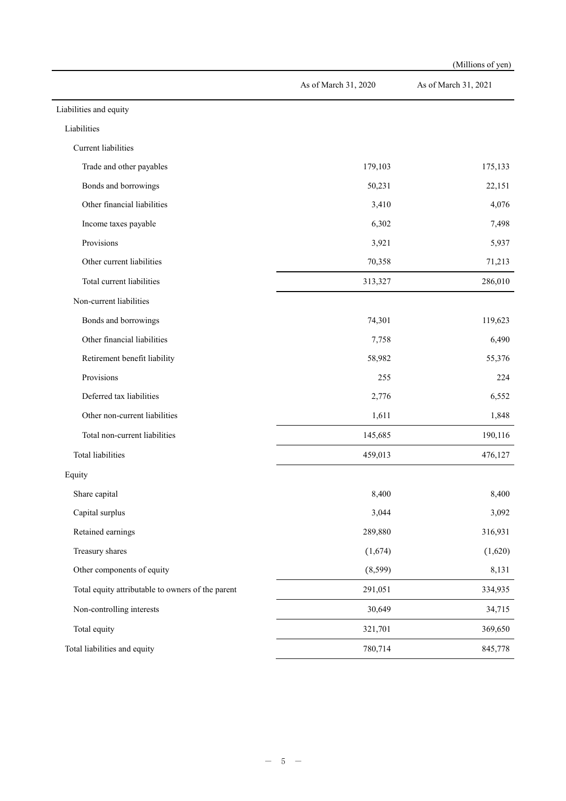|                                                   |                      | (Millions of yen)    |
|---------------------------------------------------|----------------------|----------------------|
|                                                   | As of March 31, 2020 | As of March 31, 2021 |
| Liabilities and equity                            |                      |                      |
| Liabilities                                       |                      |                      |
| Current liabilities                               |                      |                      |
| Trade and other payables                          | 179,103              | 175,133              |
| Bonds and borrowings                              | 50,231               | 22,151               |
| Other financial liabilities                       | 3,410                | 4,076                |
| Income taxes payable                              | 6,302                | 7,498                |
| Provisions                                        | 3,921                | 5,937                |
| Other current liabilities                         | 70,358               | 71,213               |
| Total current liabilities                         | 313,327              | 286,010              |
| Non-current liabilities                           |                      |                      |
| Bonds and borrowings                              | 74,301               | 119,623              |
| Other financial liabilities                       | 7,758                | 6,490                |
| Retirement benefit liability                      | 58,982               | 55,376               |
| Provisions                                        | 255                  | 224                  |
| Deferred tax liabilities                          | 2,776                | 6,552                |
| Other non-current liabilities                     | 1,611                | 1,848                |
| Total non-current liabilities                     | 145,685              | 190,116              |
| <b>Total liabilities</b>                          | 459,013              | 476,127              |
| Equity                                            |                      |                      |
| Share capital                                     | 8,400                | 8,400                |
| Capital surplus                                   | 3,044                | 3,092                |
| Retained earnings                                 | 289,880              | 316,931              |
| Treasury shares                                   | (1,674)              | (1,620)              |
| Other components of equity                        | (8, 599)             | 8,131                |
| Total equity attributable to owners of the parent | 291,051              | 334,935              |
| Non-controlling interests                         | 30,649               | 34,715               |
| Total equity                                      | 321,701              | 369,650              |
| Total liabilities and equity                      | 780,714              | 845,778              |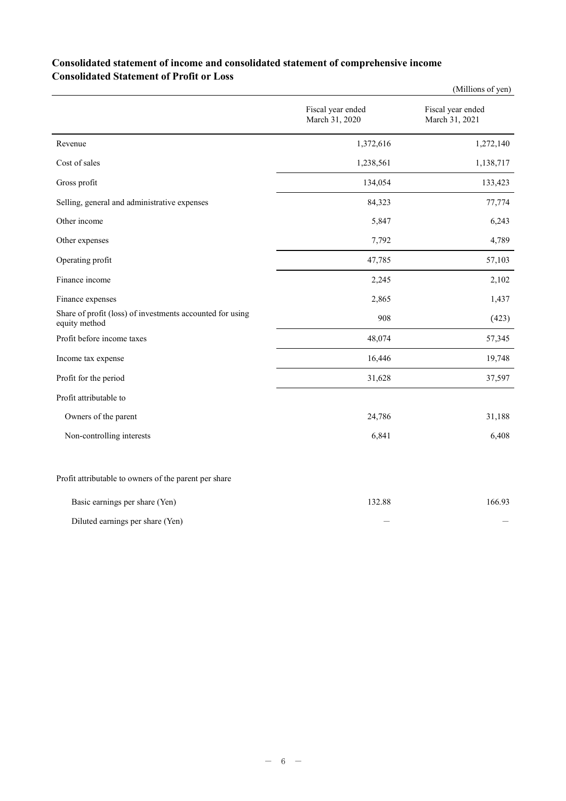### **Consolidated statement of income and consolidated statement of comprehensive income Consolidated Statement of Profit or Loss**

|                                                                            |                                     | (Millions of yen)                   |
|----------------------------------------------------------------------------|-------------------------------------|-------------------------------------|
|                                                                            | Fiscal year ended<br>March 31, 2020 | Fiscal year ended<br>March 31, 2021 |
| Revenue                                                                    | 1,372,616                           | 1,272,140                           |
| Cost of sales                                                              | 1,238,561                           | 1,138,717                           |
| Gross profit                                                               | 134,054                             | 133,423                             |
| Selling, general and administrative expenses                               | 84,323                              | 77,774                              |
| Other income                                                               | 5,847                               | 6,243                               |
| Other expenses                                                             | 7,792                               | 4,789                               |
| Operating profit                                                           | 47,785                              | 57,103                              |
| Finance income                                                             | 2,245                               | 2,102                               |
| Finance expenses                                                           | 2,865                               | 1,437                               |
| Share of profit (loss) of investments accounted for using<br>equity method | 908                                 | (423)                               |
| Profit before income taxes                                                 | 48,074                              | 57,345                              |
| Income tax expense                                                         | 16,446                              | 19,748                              |
| Profit for the period                                                      | 31,628                              | 37,597                              |
| Profit attributable to                                                     |                                     |                                     |
| Owners of the parent                                                       | 24,786                              | 31,188                              |
| Non-controlling interests                                                  | 6,841                               | 6,408                               |
| Profit attributable to owners of the parent per share                      |                                     |                                     |

| Basic earnings per share (Yen)   | 132.88 | 166.93 |
|----------------------------------|--------|--------|
| Diluted earnings per share (Yen) |        |        |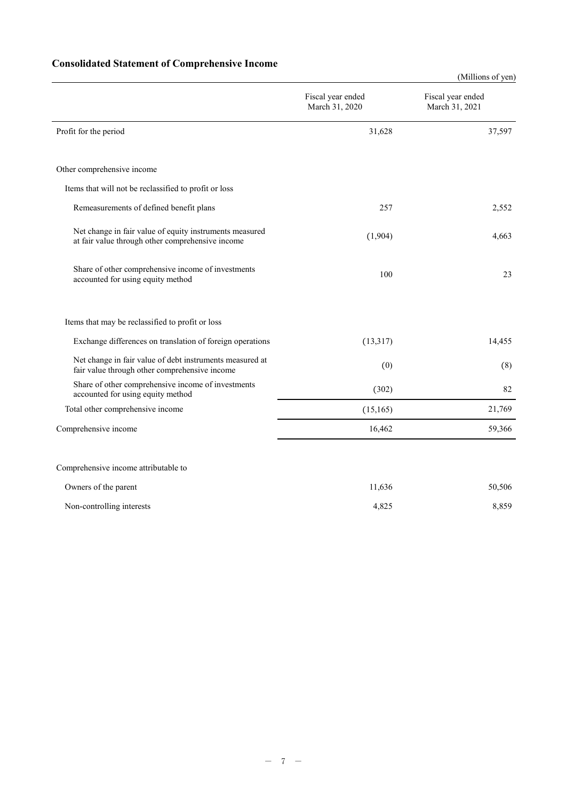# **Consolidated Statement of Comprehensive Income**

|                                                                                                             |                                     | (Millions of yen)                   |
|-------------------------------------------------------------------------------------------------------------|-------------------------------------|-------------------------------------|
|                                                                                                             | Fiscal year ended<br>March 31, 2020 | Fiscal year ended<br>March 31, 2021 |
| Profit for the period                                                                                       | 31,628                              | 37,597                              |
| Other comprehensive income                                                                                  |                                     |                                     |
| Items that will not be reclassified to profit or loss                                                       |                                     |                                     |
| Remeasurements of defined benefit plans                                                                     | 257                                 | 2,552                               |
| Net change in fair value of equity instruments measured<br>at fair value through other comprehensive income | (1,904)                             | 4,663                               |
| Share of other comprehensive income of investments<br>accounted for using equity method                     | 100                                 | 23                                  |
| Items that may be reclassified to profit or loss                                                            |                                     |                                     |
| Exchange differences on translation of foreign operations                                                   | (13, 317)                           | 14,455                              |
| Net change in fair value of debt instruments measured at<br>fair value through other comprehensive income   | (0)                                 | (8)                                 |
| Share of other comprehensive income of investments<br>accounted for using equity method                     | (302)                               | 82                                  |
| Total other comprehensive income                                                                            | (15, 165)                           | 21,769                              |
| Comprehensive income                                                                                        | 16,462                              | 59,366                              |
| Comprehensive income attributable to                                                                        |                                     |                                     |
| Owners of the parent                                                                                        | 11,636                              | 50,506                              |
| Non-controlling interests                                                                                   | 4,825                               | 8,859                               |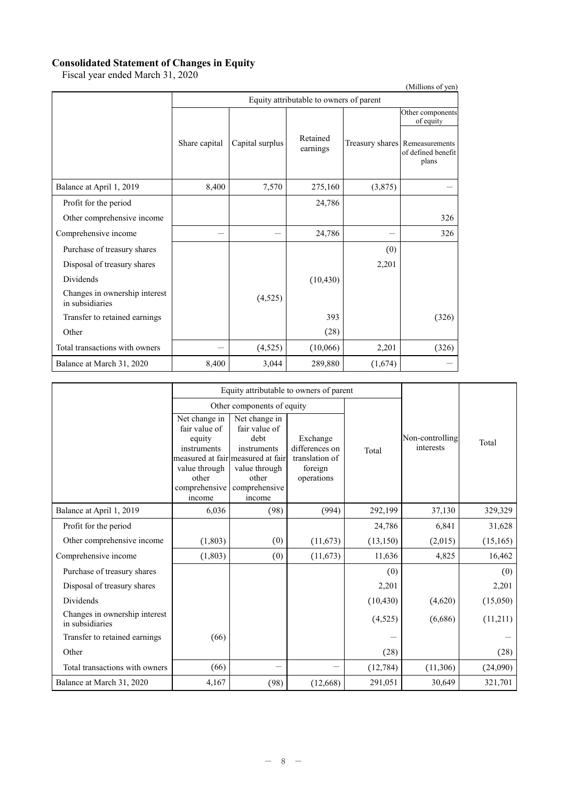#### **Consolidated Statement of Changes in Equity**

Fiscal year ended March 31, 2020

| (Millions of yen)                                |               |                 |                                         |         |                                                               |  |  |
|--------------------------------------------------|---------------|-----------------|-----------------------------------------|---------|---------------------------------------------------------------|--|--|
|                                                  |               |                 | Equity attributable to owners of parent |         |                                                               |  |  |
|                                                  |               |                 |                                         |         | Other components<br>of equity                                 |  |  |
|                                                  | Share capital | Capital surplus | Retained<br>earnings                    |         | Treasury shares Remeasurements<br>of defined benefit<br>plans |  |  |
| Balance at April 1, 2019                         | 8,400         | 7,570           | 275,160                                 | (3,875) |                                                               |  |  |
| Profit for the period                            |               |                 | 24,786                                  |         |                                                               |  |  |
| Other comprehensive income                       |               |                 |                                         |         | 326                                                           |  |  |
| Comprehensive income                             |               |                 | 24,786                                  |         | 326                                                           |  |  |
| Purchase of treasury shares                      |               |                 |                                         | (0)     |                                                               |  |  |
| Disposal of treasury shares                      |               |                 |                                         | 2,201   |                                                               |  |  |
| Dividends                                        |               |                 | (10, 430)                               |         |                                                               |  |  |
| Changes in ownership interest<br>in subsidiaries |               | (4,525)         |                                         |         |                                                               |  |  |
| Transfer to retained earnings                    |               |                 | 393                                     |         | (326)                                                         |  |  |
| Other                                            |               |                 | (28)                                    |         |                                                               |  |  |
| Total transactions with owners                   |               | (4,525)         | (10,066)                                | 2,201   | (326)                                                         |  |  |
| Balance at March 31, 2020                        | 8,400         | 3,044           | 289,880                                 | (1,674) |                                                               |  |  |

|                                                  |                                                                                                              | Equity attributable to owners of parent                                                                                                         |                                                                       |           |                              |           |
|--------------------------------------------------|--------------------------------------------------------------------------------------------------------------|-------------------------------------------------------------------------------------------------------------------------------------------------|-----------------------------------------------------------------------|-----------|------------------------------|-----------|
|                                                  |                                                                                                              | Other components of equity                                                                                                                      |                                                                       |           |                              |           |
|                                                  | Net change in<br>fair value of<br>equity<br>instruments<br>value through<br>other<br>comprehensive<br>income | Net change in<br>fair value of<br>debt<br>instruments<br>measured at fair measured at fair<br>value through<br>other<br>comprehensive<br>income | Exchange<br>differences on<br>translation of<br>foreign<br>operations | Total     | Non-controlling<br>interests | Total     |
| Balance at April 1, 2019                         | 6,036                                                                                                        | (98)                                                                                                                                            | (994)                                                                 | 292,199   | 37,130                       | 329,329   |
| Profit for the period                            |                                                                                                              |                                                                                                                                                 |                                                                       | 24,786    | 6,841                        | 31,628    |
| Other comprehensive income                       | (1, 803)                                                                                                     | (0)                                                                                                                                             | (11, 673)                                                             | (13, 150) | (2,015)                      | (15, 165) |
| Comprehensive income                             | (1,803)                                                                                                      | (0)                                                                                                                                             | (11, 673)                                                             | 11,636    | 4,825                        | 16,462    |
| Purchase of treasury shares                      |                                                                                                              |                                                                                                                                                 |                                                                       | (0)       |                              | (0)       |
| Disposal of treasury shares                      |                                                                                                              |                                                                                                                                                 |                                                                       | 2,201     |                              | 2,201     |
| Dividends                                        |                                                                                                              |                                                                                                                                                 |                                                                       | (10, 430) | (4,620)                      | (15,050)  |
| Changes in ownership interest<br>in subsidiaries |                                                                                                              |                                                                                                                                                 |                                                                       | (4,525)   | (6,686)                      | (11,211)  |
| Transfer to retained earnings                    | (66)                                                                                                         |                                                                                                                                                 |                                                                       |           |                              |           |
| Other                                            |                                                                                                              |                                                                                                                                                 |                                                                       | (28)      |                              | (28)      |
| Total transactions with owners                   | (66)                                                                                                         |                                                                                                                                                 |                                                                       | (12, 784) | (11,306)                     | (24,090)  |
| Balance at March 31, 2020                        | 4,167                                                                                                        | (98)                                                                                                                                            | (12,668)                                                              | 291,051   | 30,649                       | 321,701   |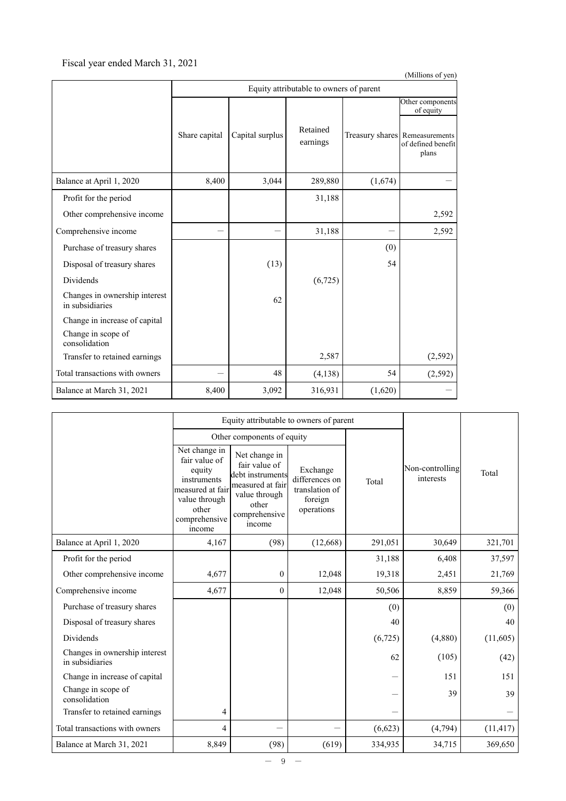### Fiscal year ended March 31, 2021

| (Millions of yen)                                |               |                 |                                         |         |                                                               |  |  |
|--------------------------------------------------|---------------|-----------------|-----------------------------------------|---------|---------------------------------------------------------------|--|--|
|                                                  |               |                 | Equity attributable to owners of parent |         |                                                               |  |  |
|                                                  |               |                 |                                         |         | Other components<br>of equity                                 |  |  |
|                                                  | Share capital | Capital surplus | Retained<br>earnings                    |         | Treasury shares Remeasurements<br>of defined benefit<br>plans |  |  |
| Balance at April 1, 2020                         | 8,400         | 3,044           | 289,880                                 | (1,674) |                                                               |  |  |
| Profit for the period                            |               |                 | 31,188                                  |         |                                                               |  |  |
| Other comprehensive income                       |               |                 |                                         |         | 2,592                                                         |  |  |
| Comprehensive income                             |               |                 | 31,188                                  |         | 2,592                                                         |  |  |
| Purchase of treasury shares                      |               |                 |                                         | (0)     |                                                               |  |  |
| Disposal of treasury shares                      |               | (13)            |                                         | 54      |                                                               |  |  |
| <b>Dividends</b>                                 |               |                 | (6, 725)                                |         |                                                               |  |  |
| Changes in ownership interest<br>in subsidiaries |               | 62              |                                         |         |                                                               |  |  |
| Change in increase of capital                    |               |                 |                                         |         |                                                               |  |  |
| Change in scope of<br>consolidation              |               |                 |                                         |         |                                                               |  |  |
| Transfer to retained earnings                    |               |                 | 2,587                                   |         | (2, 592)                                                      |  |  |
| Total transactions with owners                   |               | 48              | (4,138)                                 | 54      | (2, 592)                                                      |  |  |
| Balance at March 31, 2021                        | 8,400         | 3,092           | 316,931                                 | (1,620) |                                                               |  |  |

|                                                  |                                                                                                                                  | Equity attributable to owners of parent                                                                                     |                                                                       |                                                                                                                                                                                                                                |       |           |
|--------------------------------------------------|----------------------------------------------------------------------------------------------------------------------------------|-----------------------------------------------------------------------------------------------------------------------------|-----------------------------------------------------------------------|--------------------------------------------------------------------------------------------------------------------------------------------------------------------------------------------------------------------------------|-------|-----------|
|                                                  |                                                                                                                                  | Other components of equity                                                                                                  |                                                                       |                                                                                                                                                                                                                                |       |           |
|                                                  | Net change in<br>fair value of<br>equity<br>instruments<br>measured at fair<br>value through<br>other<br>comprehensive<br>income | Net change in<br>fair value of<br>debt instruments<br>measured at fair<br>value through<br>other<br>comprehensive<br>income | Exchange<br>differences on<br>translation of<br>foreign<br>operations | Non-controlling<br>interests<br>Total<br>291,051<br>30,649<br>31,188<br>6,408<br>19,318<br>2,451<br>8,859<br>50,506<br>(0)<br>40<br>(6,725)<br>(4,880)<br>(105)<br>62<br>151<br>39<br>(6,623)<br>(4, 794)<br>334,935<br>34,715 | Total |           |
| Balance at April 1, 2020                         | 4,167                                                                                                                            | (98)                                                                                                                        | (12,668)                                                              |                                                                                                                                                                                                                                |       | 321,701   |
| Profit for the period                            |                                                                                                                                  |                                                                                                                             |                                                                       |                                                                                                                                                                                                                                |       | 37,597    |
| Other comprehensive income                       | 4,677                                                                                                                            | $\boldsymbol{0}$                                                                                                            | 12,048                                                                |                                                                                                                                                                                                                                |       | 21,769    |
| Comprehensive income                             | 4,677                                                                                                                            | $\mathbf{0}$                                                                                                                | 12,048                                                                |                                                                                                                                                                                                                                |       | 59,366    |
| Purchase of treasury shares                      |                                                                                                                                  |                                                                                                                             |                                                                       |                                                                                                                                                                                                                                |       | (0)       |
| Disposal of treasury shares                      |                                                                                                                                  |                                                                                                                             |                                                                       |                                                                                                                                                                                                                                |       | 40        |
| <b>Dividends</b>                                 |                                                                                                                                  |                                                                                                                             |                                                                       |                                                                                                                                                                                                                                |       | (11,605)  |
| Changes in ownership interest<br>in subsidiaries |                                                                                                                                  |                                                                                                                             |                                                                       |                                                                                                                                                                                                                                |       | (42)      |
| Change in increase of capital                    |                                                                                                                                  |                                                                                                                             |                                                                       |                                                                                                                                                                                                                                |       | 151       |
| Change in scope of<br>consolidation              |                                                                                                                                  |                                                                                                                             |                                                                       |                                                                                                                                                                                                                                |       | 39        |
| Transfer to retained earnings                    | 4                                                                                                                                |                                                                                                                             |                                                                       |                                                                                                                                                                                                                                |       |           |
| Total transactions with owners                   | 4                                                                                                                                |                                                                                                                             |                                                                       |                                                                                                                                                                                                                                |       | (11, 417) |
| Balance at March 31, 2021                        | 8,849                                                                                                                            | (98)                                                                                                                        | (619)                                                                 |                                                                                                                                                                                                                                |       | 369,650   |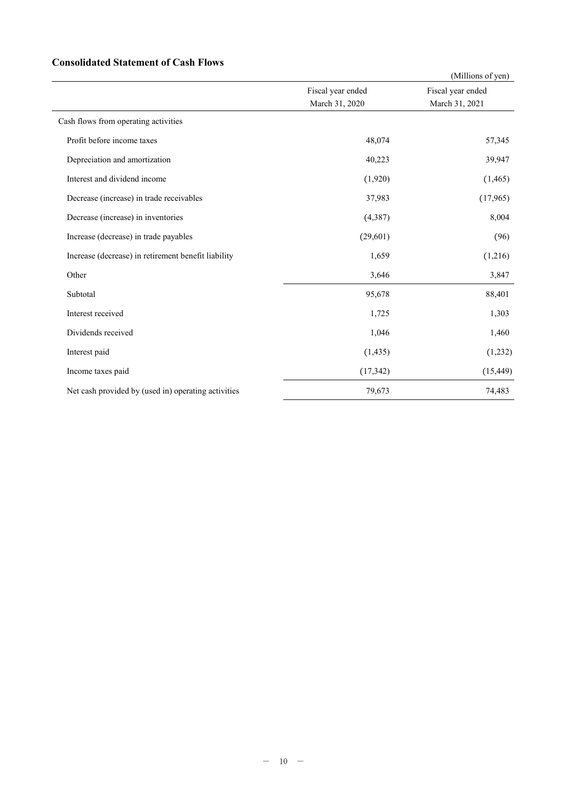### **Consolidated Statement of Cash Flows**

|                                                     |                   | (Millions of yen) |
|-----------------------------------------------------|-------------------|-------------------|
|                                                     | Fiscal year ended | Fiscal year ended |
|                                                     | March 31, 2020    | March 31, 2021    |
| Cash flows from operating activities                |                   |                   |
| Profit before income taxes                          | 48,074            | 57,345            |
| Depreciation and amortization                       | 40,223            | 39,947            |
| Interest and dividend income                        | (1,920)           | (1,465)           |
| Decrease (increase) in trade receivables            | 37,983            | (17,965)          |
| Decrease (increase) in inventories                  | (4, 387)          | 8,004             |
| Increase (decrease) in trade payables               | (29,601)          | (96)              |
| Increase (decrease) in retirement benefit liability | 1,659             | (1,216)           |
| Other                                               | 3,646             | 3,847             |
| Subtotal                                            | 95,678            | 88,401            |
| Interest received                                   | 1,725             | 1,303             |
| Dividends received                                  | 1,046             | 1,460             |
| Interest paid                                       | (1, 435)          | (1,232)           |
| Income taxes paid                                   | (17, 342)         | (15, 449)         |
| Net cash provided by (used in) operating activities | 79,673            | 74,483            |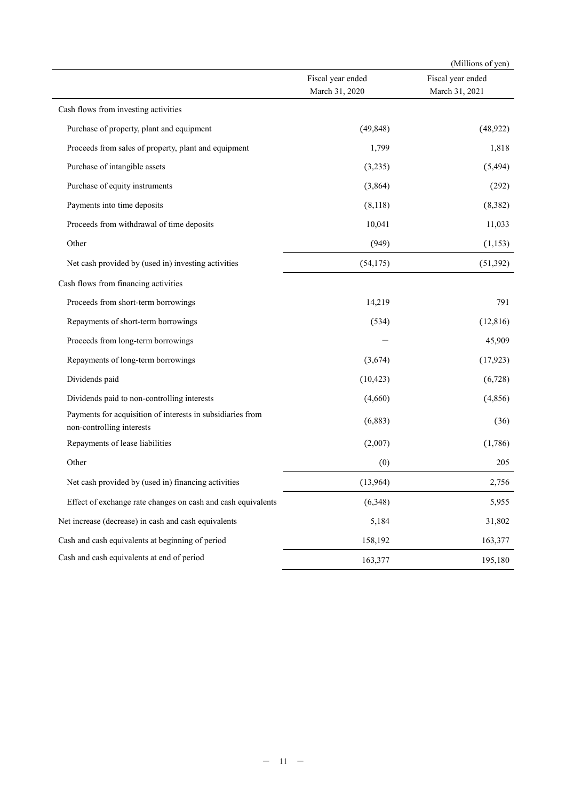|                                                                                         |                                     | (Millions of yen)                   |
|-----------------------------------------------------------------------------------------|-------------------------------------|-------------------------------------|
|                                                                                         | Fiscal year ended<br>March 31, 2020 | Fiscal year ended<br>March 31, 2021 |
| Cash flows from investing activities                                                    |                                     |                                     |
| Purchase of property, plant and equipment                                               | (49, 848)                           | (48, 922)                           |
| Proceeds from sales of property, plant and equipment                                    | 1,799                               | 1,818                               |
| Purchase of intangible assets                                                           | (3,235)                             | (5, 494)                            |
| Purchase of equity instruments                                                          | (3,864)                             | (292)                               |
| Payments into time deposits                                                             | (8,118)                             | (8,382)                             |
| Proceeds from withdrawal of time deposits                                               | 10,041                              | 11,033                              |
| Other                                                                                   | (949)                               | (1, 153)                            |
| Net cash provided by (used in) investing activities                                     | (54, 175)                           | (51, 392)                           |
| Cash flows from financing activities                                                    |                                     |                                     |
| Proceeds from short-term borrowings                                                     | 14,219                              | 791                                 |
| Repayments of short-term borrowings                                                     | (534)                               | (12, 816)                           |
| Proceeds from long-term borrowings                                                      |                                     | 45,909                              |
| Repayments of long-term borrowings                                                      | (3,674)                             | (17, 923)                           |
| Dividends paid                                                                          | (10, 423)                           | (6,728)                             |
| Dividends paid to non-controlling interests                                             | (4,660)                             | (4, 856)                            |
| Payments for acquisition of interests in subsidiaries from<br>non-controlling interests | (6, 883)                            | (36)                                |
| Repayments of lease liabilities                                                         | (2,007)                             | (1,786)                             |
| Other                                                                                   | (0)                                 | 205                                 |
| Net cash provided by (used in) financing activities                                     | (13,964)                            | 2,756                               |
| Effect of exchange rate changes on cash and cash equivalents                            | (6,348)                             | 5,955                               |
| Net increase (decrease) in cash and cash equivalents                                    | 5,184                               | 31,802                              |
| Cash and cash equivalents at beginning of period                                        | 158,192                             | 163,377                             |
| Cash and cash equivalents at end of period                                              | 163,377                             | 195,180                             |